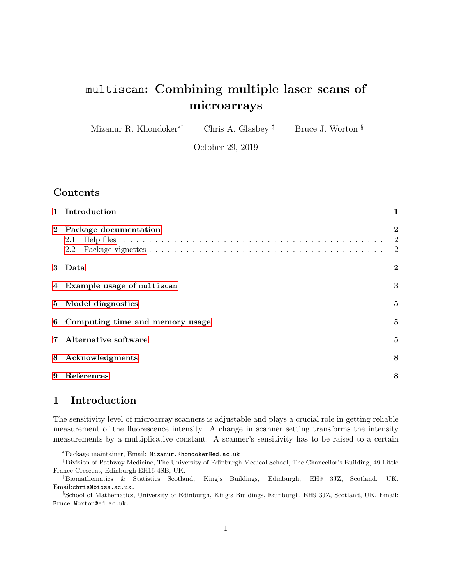# multiscan: Combining multiple laser scans of microarrays

Mizanur R. Khondoker<sup>\*†</sup> Chris A. Glasbey <sup> $\ddagger$ </sup> Bruce J. Worton  $\S$ 

October 29, 2019

### Contents

|   | 1 Introduction                    | 1                                                    |
|---|-----------------------------------|------------------------------------------------------|
|   | 2 Package documentation<br>2.1    | $\boldsymbol{2}$<br>$\overline{2}$<br>$\overline{2}$ |
|   | 3 Data                            | $\bf{2}$                                             |
|   | 4 Example usage of multiscan      | 3                                                    |
|   | 5 Model diagnostics               | $\bf{5}$                                             |
|   | 6 Computing time and memory usage | $\bf{5}$                                             |
|   | Alternative software              | $\bf{5}$                                             |
| 8 | Acknowledgments                   | 8                                                    |
| 9 | References                        | 8                                                    |

# <span id="page-0-0"></span>1 Introduction

The sensitivity level of microarray scanners is adjustable and plays a crucial role in getting reliable measurement of the fluorescence intensity. A change in scanner setting transforms the intensity measurements by a multiplicative constant. A scanner's sensitivity has to be raised to a certain

<sup>\*</sup>Package maintainer, Email: Mizanur.Khondoker@ed.ac.uk

Division of Pathway Medicine, The University of Edinburgh Medical School, The Chancellor's Building, 49 Little France Crescent, Edinburgh EH16 4SB, UK.

Biomathematics & Statistics Scotland, King's Buildings, Edinburgh, EH9 3JZ, Scotland, UK. Email:chris@bioss.ac.uk.

<sup>§</sup>School of Mathematics, University of Edinburgh, King's Buildings, Edinburgh, EH9 3JZ, Scotland, UK. Email: Bruce.Worton@ed.ac.uk.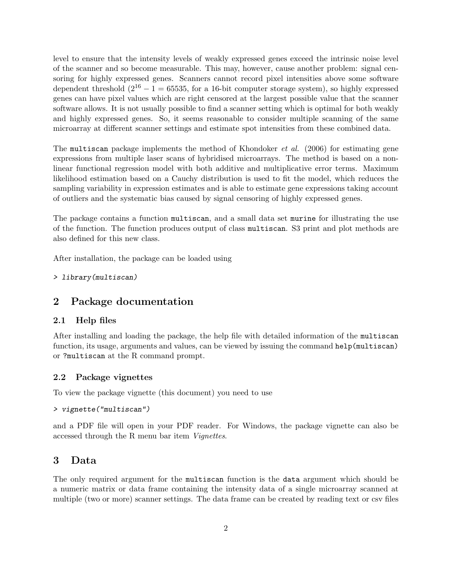level to ensure that the intensity levels of weakly expressed genes exceed the intrinsic noise level of the scanner and so become measurable. This may, however, cause another problem: signal censoring for highly expressed genes. Scanners cannot record pixel intensities above some software dependent threshold  $(2^{16} - 1 = 65535,$  for a 16-bit computer storage system), so highly expressed genes can have pixel values which are right censored at the largest possible value that the scanner software allows. It is not usually possible to find a scanner setting which is optimal for both weakly and highly expressed genes. So, it seems reasonable to consider multiple scanning of the same microarray at different scanner settings and estimate spot intensities from these combined data.

The multiscan package implements the method of Khondoker *et al.* (2006) for estimating gene expressions from multiple laser scans of hybridised microarrays. The method is based on a nonlinear functional regression model with both additive and multiplicative error terms. Maximum likelihood estimation based on a Cauchy distribution is used to fit the model, which reduces the sampling variability in expression estimates and is able to estimate gene expressions taking account of outliers and the systematic bias caused by signal censoring of highly expressed genes.

The package contains a function multiscan, and a small data set murine for illustrating the use of the function. The function produces output of class multiscan. S3 print and plot methods are also defined for this new class.

After installation, the package can be loaded using

```
> library(multiscan)
```
#### <span id="page-1-0"></span>2 Package documentation

#### <span id="page-1-1"></span>2.1 Help files

After installing and loading the package, the help file with detailed information of the multiscan function, its usage, arguments and values, can be viewed by issuing the command help(multiscan) or ?multiscan at the R command prompt.

#### <span id="page-1-2"></span>2.2 Package vignettes

To view the package vignette (this document) you need to use

```
> vignette("multiscan")
```
and a PDF file will open in your PDF reader. For Windows, the package vignette can also be accessed through the R menu bar item Vignettes.

#### <span id="page-1-3"></span>3 Data

The only required argument for the multiscan function is the data argument which should be a numeric matrix or data frame containing the intensity data of a single microarray scanned at multiple (two or more) scanner settings. The data frame can be created by reading text or csv files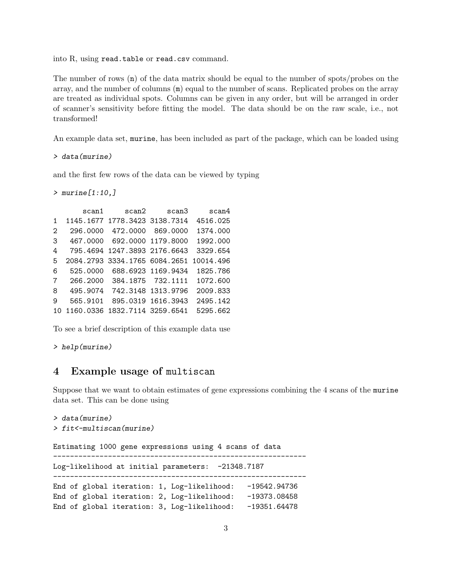into R, using read.table or read.csv command.

The number of rows (n) of the data matrix should be equal to the number of spots/probes on the array, and the number of columns (m) equal to the number of scans. Replicated probes on the array are treated as individual spots. Columns can be given in any order, but will be arranged in order of scanner's sensitivity before fitting the model. The data should be on the raw scale, i.e., not transformed!

An example data set, murine, has been included as part of the package, which can be loaded using

> data(murine)

and the first few rows of the data can be viewed by typing

 $>$  murine  $[1:10,]$ 

```
scan1 scan2 scan3 scan4
1 1145.1677 1778.3423 3138.7314 4516.025
2 296.0000 472.0000 869.0000 1374.000
3 467.0000 692.0000 1179.8000 1992.000
4 795.4694 1247.3893 2176.6643 3329.654
5 2084.2793 3334.1765 6084.2651 10014.496
6 525.0000 688.6923 1169.9434 1825.786
7 266.2000 384.1875 732.1111 1072.600
8 495.9074 742.3148 1313.9796 2009.833
9 565.9101 895.0319 1616.3943 2495.142
10 1160.0336 1832.7114 3259.6541 5295.662
```
To see a brief description of this example data use

```
> help(murine)
```
# <span id="page-2-0"></span>4 Example usage of multiscan

Suppose that we want to obtain estimates of gene expressions combining the 4 scans of the murine data set. This can be done using

```
> data(murine)
> fit<-multiscan(murine)
Estimating 1000 gene expressions using 4 scans of data
            ------------------------------------------------------------
Log-likelihood at initial parameters: -21348.7187
------------------------------------------------------------
```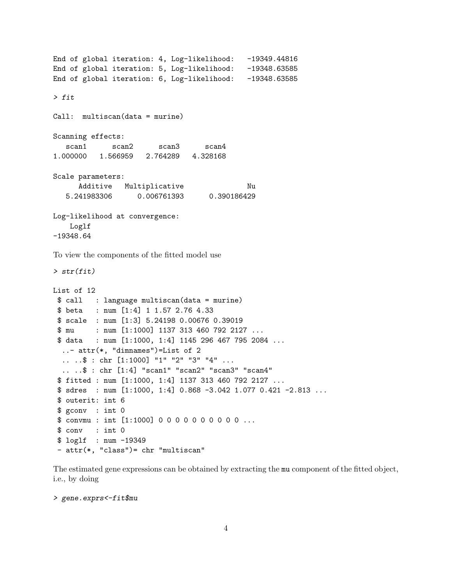```
End of global iteration: 4, Log-likelihood: -19349.44816
End of global iteration: 5, Log-likelihood: -19348.63585
End of global iteration: 6, Log-likelihood: -19348.63585
> fit
Call: multiscan(data = murine)
Scanning effects:
  scan1 scan2 scan3 scan4
1.000000 1.566959 2.764289 4.328168
Scale parameters:
     Additive Multiplicative Nu
  5.241983306 0.006761393 0.390186429
Log-likelihood at convergence:
   Loglf
-19348.64
```
To view the components of the fitted model use

> str(fit)

```
List of 12
 $ call : language multiscan(data = murine)
$ beta : num [1:4] 1 1.57 2.76 4.33
$ scale : num [1:3] 5.24198 0.00676 0.39019
$ mu : num [1:1000] 1137 313 460 792 2127 ...
 $ data : num [1:1000, 1:4] 1145 296 467 795 2084 ...
  ..- attr(*, "dimnames")=List of 2
  .. ..$ : chr [1:1000] "1" "2" "3" "4" ...
  .. ..$ : chr [1:4] "scan1" "scan2" "scan3" "scan4"
 $ fitted : num [1:1000, 1:4] 1137 313 460 792 2127 ...
 $ sdres : num [1:1000, 1:4] 0.868 -3.042 1.077 0.421 -2.813 ...
 $ outerit: int 6
 $ gconv : int 0
 $ convmu : int [1:1000] 0 0 0 0 0 0 0 0 0 0 ...
 $ conv : int 0
 $ loglf : num -19349
- attr(*, "class")= chr "multiscan"
```
The estimated gene expressions can be obtained by extracting the mu component of the fitted object, i.e., by doing

> gene.exprs<-fit\$mu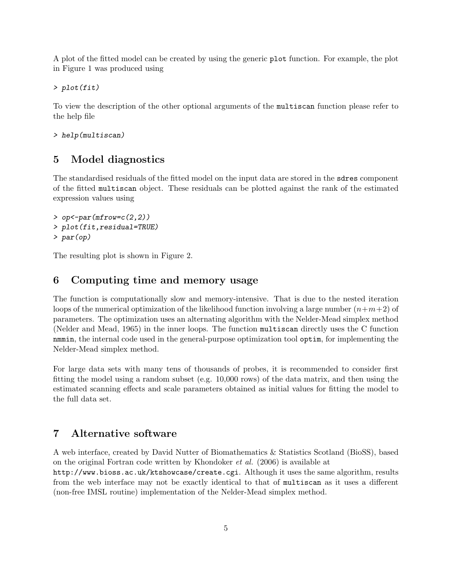A plot of the fitted model can be created by using the generic plot function. For example, the plot in Figure 1 was produced using

> plot(fit)

To view the description of the other optional arguments of the multiscan function please refer to the help file

> help(multiscan)

## <span id="page-4-0"></span>5 Model diagnostics

The standardised residuals of the fitted model on the input data are stored in the sdres component of the fitted multiscan object. These residuals can be plotted against the rank of the estimated expression values using

```
> op < -par(mfrow=c(2,2))> plot(fit,residual=TRUE)
> par(op)
```
The resulting plot is shown in Figure 2.

### <span id="page-4-1"></span>6 Computing time and memory usage

The function is computationally slow and memory-intensive. That is due to the nested iteration loops of the numerical optimization of the likelihood function involving a large number  $(n+m+2)$  of parameters. The optimization uses an alternating algorithm with the Nelder-Mead simplex method (Nelder and Mead, 1965) in the inner loops. The function multiscan directly uses the C function nmmin, the internal code used in the general-purpose optimization tool optim, for implementing the Nelder-Mead simplex method.

For large data sets with many tens of thousands of probes, it is recommended to consider first fitting the model using a random subset (e.g. 10,000 rows) of the data matrix, and then using the estimated scanning effects and scale parameters obtained as initial values for fitting the model to the full data set.

#### <span id="page-4-2"></span>7 Alternative software

A web interface, created by David Nutter of Biomathematics & Statistics Scotland (BioSS), based on the original Fortran code written by Khondoker et al. (2006) is available at http://www.bioss.ac.uk/ktshowcase/create.cgi. Although it uses the same algorithm, results from the web interface may not be exactly identical to that of multiscan as it uses a different (non-free IMSL routine) implementation of the Nelder-Mead simplex method.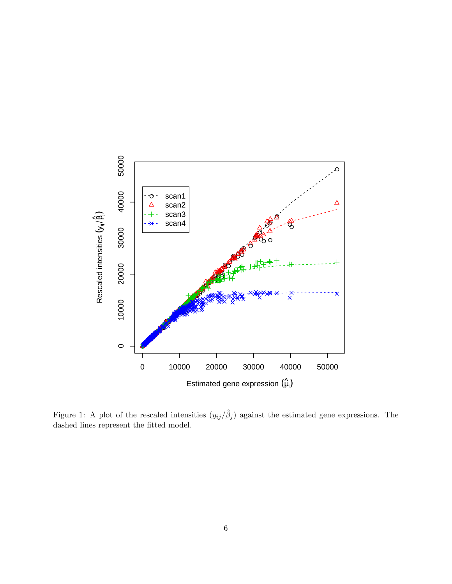

Figure 1: A plot of the rescaled intensities  $(y_{ij}/\hat{\beta}_j)$  against the estimated gene expressions. The dashed lines represent the fitted model.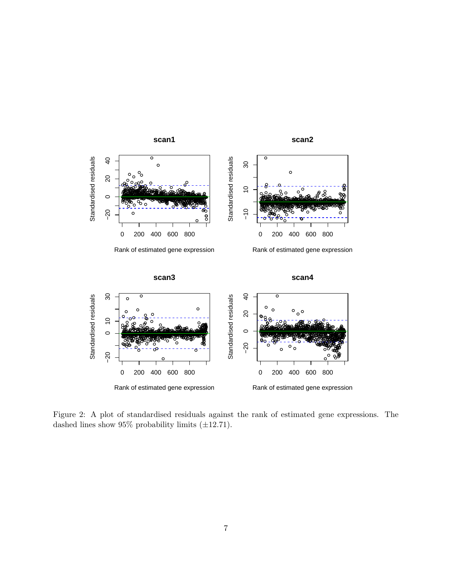

Figure 2: A plot of standardised residuals against the rank of estimated gene expressions. The dashed lines show  $95\%$  probability limits (±12.71).